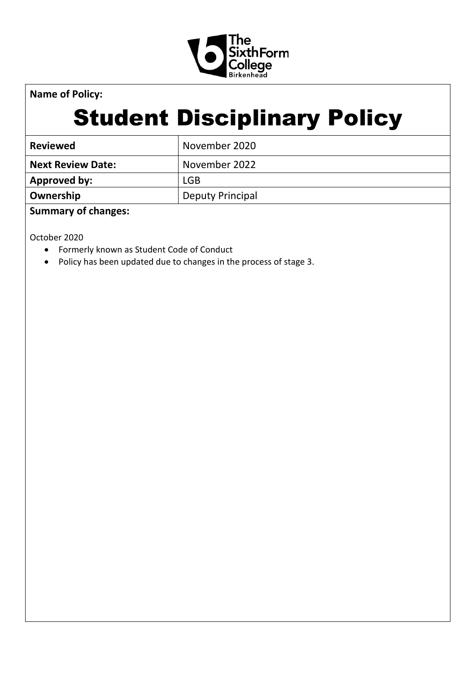

**Name of Policy:**

# Student Disciplinary Policy

| <b>Reviewed</b>          | November 2020    |
|--------------------------|------------------|
| <b>Next Review Date:</b> | November 2022    |
| Approved by:             | <b>LGB</b>       |
| Ownership                | Deputy Principal |

## **Summary of changes:**

October 2020

- Formerly known as Student Code of Conduct
- Policy has been updated due to changes in the process of stage 3.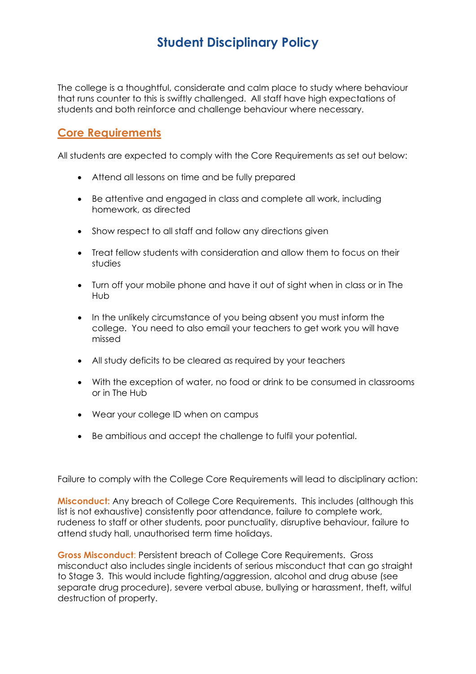## **Student Disciplinary Policy**

The college is a thoughtful, considerate and calm place to study where behaviour that runs counter to this is swiftly challenged. All staff have high expectations of students and both reinforce and challenge behaviour where necessary.

## **Core Requirements**

All students are expected to comply with the Core Requirements as set out below:

- Attend all lessons on time and be fully prepared
- Be attentive and engaged in class and complete all work, including homework, as directed
- Show respect to all staff and follow any directions given
- Treat fellow students with consideration and allow them to focus on their studies
- Turn off your mobile phone and have it out of sight when in class or in The Hub
- In the unlikely circumstance of you being absent you must inform the college. You need to also email your teachers to get work you will have missed
- All study deficits to be cleared as required by your teachers
- With the exception of water, no food or drink to be consumed in classrooms or in The Hub
- Wear your college ID when on campus
- Be ambitious and accept the challenge to fulfil your potential.

Failure to comply with the College Core Requirements will lead to disciplinary action:

**Misconduct:** Any breach of College Core Requirements. This includes (although this list is not exhaustive) consistently poor attendance, failure to complete work, rudeness to staff or other students, poor punctuality, disruptive behaviour, failure to attend study hall, unauthorised term time holidays.

**Gross Misconduct**: Persistent breach of College Core Requirements. Gross misconduct also includes single incidents of serious misconduct that can go straight to Stage 3. This would include fighting/aggression, alcohol and drug abuse (see separate drug procedure), severe verbal abuse, bullying or harassment, theft, wilful destruction of property.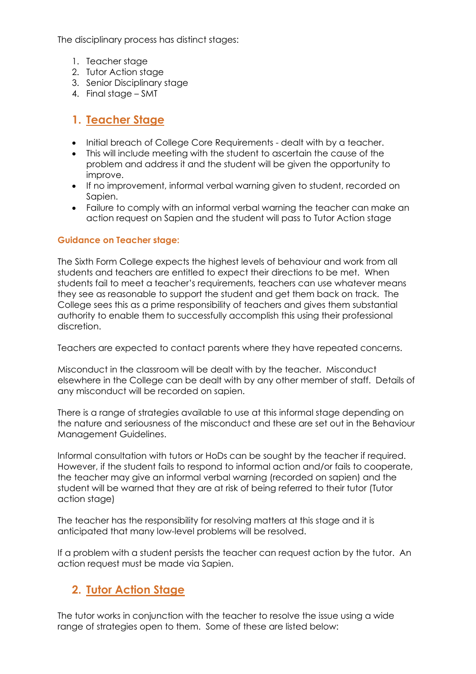The disciplinary process has distinct stages:

- 1. Teacher stage
- 2. Tutor Action stage
- 3. Senior Disciplinary stage
- 4. Final stage SMT

## **1. Teacher Stage**

- Initial breach of College Core Requirements dealt with by a teacher.
- This will include meeting with the student to ascertain the cause of the problem and address it and the student will be given the opportunity to improve.
- If no improvement, informal verbal warning given to student, recorded on Sapien.
- Failure to comply with an informal verbal warning the teacher can make an action request on Sapien and the student will pass to Tutor Action stage

#### **Guidance on Teacher stage:**

The Sixth Form College expects the highest levels of behaviour and work from all students and teachers are entitled to expect their directions to be met. When students fail to meet a teacher's requirements, teachers can use whatever means they see as reasonable to support the student and get them back on track. The College sees this as a prime responsibility of teachers and gives them substantial authority to enable them to successfully accomplish this using their professional discretion.

Teachers are expected to contact parents where they have repeated concerns.

Misconduct in the classroom will be dealt with by the teacher. Misconduct elsewhere in the College can be dealt with by any other member of staff. Details of any misconduct will be recorded on sapien.

There is a range of strategies available to use at this informal stage depending on the nature and seriousness of the misconduct and these are set out in the Behaviour Management Guidelines.

Informal consultation with tutors or HoDs can be sought by the teacher if required. However, if the student fails to respond to informal action and/or fails to cooperate, the teacher may give an informal verbal warning (recorded on sapien) and the student will be warned that they are at risk of being referred to their tutor (Tutor action stage)

The teacher has the responsibility for resolving matters at this stage and it is anticipated that many low-level problems will be resolved.

If a problem with a student persists the teacher can request action by the tutor. An action request must be made via Sapien.

#### **2. Tutor Action Stage**

The tutor works in conjunction with the teacher to resolve the issue using a wide range of strategies open to them. Some of these are listed below: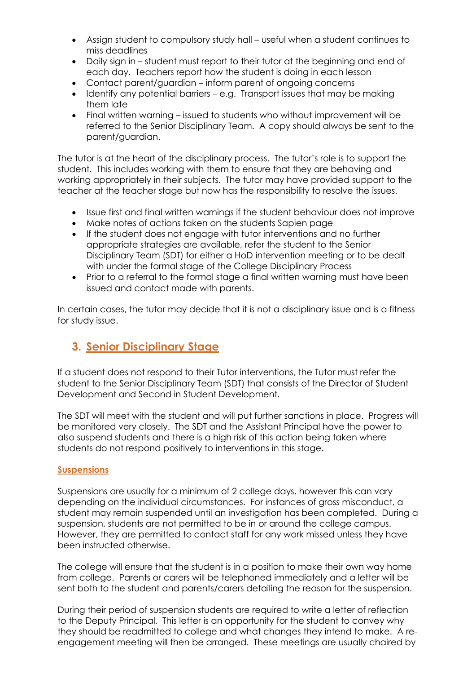- Assign student to compulsory study hall useful when a student continues to miss deadlines
- Daily sign in student must report to their tutor at the beginning and end of each day. Teachers report how the student is doing in each lesson
- Contact parent/guardian inform parent of ongoing concerns
- Identify any potential barriers e.g. Transport issues that may be making them late
- Final written warning issued to students who without improvement will be referred to the Senior Disciplinary Team. A copy should always be sent to the parent/guardian.

The tutor is at the heart of the disciplinary process. The tutor's role is to support the student. This includes working with them to ensure that they are behaving and working appropriately in their subjects. The tutor may have provided support to the teacher at the teacher stage but now has the responsibility to resolve the issues.

- Issue first and final written warnings if the student behaviour does not improve
- Make notes of actions taken on the students Sapien page
- If the student does not engage with tutor interventions and no further appropriate strategies are available, refer the student to the Senior Disciplinary Team (SDT) for either a HoD intervention meeting or to be dealt with under the formal stage of the College Disciplinary Process
- Prior to a referral to the formal stage a final written warning must have been issued and contact made with parents.

In certain cases, the tutor may decide that it is not a disciplinary issue and is a fitness for study issue.

#### **3. Senior Disciplinary Stage**

If a student does not respond to their Tutor interventions, the Tutor must refer the student to the Senior Disciplinary Team (SDT) that consists of the Director of Student Development and Second in Student Development.

The SDT will meet with the student and will put further sanctions in place. Progress will be monitored very closely. The SDT and the Assistant Principal have the power to also suspend students and there is a high risk of this action being taken where students do not respond positively to interventions in this stage.

#### **Suspensions**

Suspensions are usually for a minimum of 2 college days, however this can vary depending on the individual circumstances. For instances of gross misconduct, a student may remain suspended until an investigation has been completed. During a suspension, students are not permitted to be in or around the college campus. However, they are permitted to contact staff for any work missed unless they have been instructed otherwise.

The college will ensure that the student is in a position to make their own way home from college. Parents or carers will be telephoned immediately and a letter will be sent both to the student and parents/carers detailing the reason for the suspension.

During their period of suspension students are required to write a letter of reflection to the Deputy Principal. This letter is an opportunity for the student to convey why they should be readmitted to college and what changes they intend to make. A reengagement meeting will then be arranged. These meetings are usually chaired by